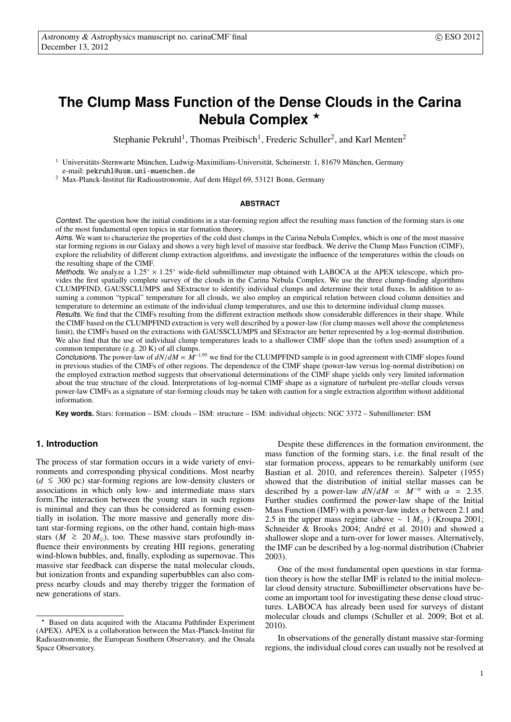# **The Clump Mass Function of the Dense Clouds in the Carina Nebula Complex** <sup>⋆</sup>

Stephanie Pekruhl<sup>1</sup>, Thomas Preibisch<sup>1</sup>, Frederic Schuller<sup>2</sup>, and Karl Menten<sup>2</sup>

Universitäts-Sternwarte München, Ludwig-Maximilians-Universität, Scheinerstr. 1, 81679 München, Germany e-mail: pekruhl@usm.uni-muenchen.de

 $2$  Max-Planck-Institut für Radioastronomie, Auf dem Hügel 69, 53121 Bonn, Germany

# **ABSTRACT**

Context. The question how the initial conditions in a star-forming region affect the resulting mass function of the forming stars is one of the most fundamental open topics in star formation theory.

Aims. We want to characterize the properties of the cold dust clumps in the Carina Nebula Complex, which is one of the most massive star forming regions in our Galaxy and shows a very high level of massive star feedback. We derive the Clump Mass Function (ClMF), explore the reliability of different clump extraction algorithms, and investigate the influence of the temperatures within the clouds on the resulting shape of the ClMF.

Methods. We analyze a  $1.25° \times 1.25°$  wide-field submillimeter map obtained with LABOCA at the APEX telescope, which provides the first spatially complete survey of the clouds in the Carina Nebula Complex. We use the three clump-finding algorithms CLUMPFIND, GAUSSCLUMPS and SExtractor to identify individual clumps and determine their total fluxes. In addition to assuming a common "typical" temperature for all clouds, we also employ an empirical relation between cloud column densities and temperature to determine an estimate of the individual clump temperatures, and use this to determine individual clump masses.

Results. We find that the ClMFs resulting from the different extraction methods show considerable differences in their shape. While the ClMF based on the CLUMPFIND extraction is very well described by a power-law (for clump masses well above the completeness limit), the ClMFs based on the extractions with GAUSSCLUMPS and SExtractor are better represented by a log-normal distribution. We also find that the use of individual clump temperatures leads to a shallower ClMF slope than the (often used) assumption of a common temperature (e.g. 20 K) of all clumps.

Conclusions. The power-law of *dN*/*dM* ∝ *M*−1.<sup>95</sup> we find for the CLUMPFIND sample is in good agreement with ClMF slopes found in previous studies of the ClMFs of other regions. The dependence of the ClMF shape (power-law versus log-normal distribution) on the employed extraction method suggests that observational determinations of the ClMF shape yields only very limited information about the true structure of the cloud. Interpretations of log-normal ClMF shape as a signature of turbulent pre-stellar clouds versus power-law ClMFs as a signature of star-forming clouds may be taken with caution for a single extraction algorithm without additional information.

**Key words.** Stars: formation – ISM: clouds – ISM: structure – ISM: individual objects: NGC 3372 – Submillimeter: ISM

# **1. Introduction**

The process of star formation occurs in a wide variety of environments and corresponding physical conditions. Most nearby (*<sup>d</sup>* <sup>&</sup>lt;<sup>∼</sup> 300 pc) star-forming regions are low-density clusters or associations in which only low- and intermediate mass stars form.The interaction between the young stars in such regions is minimal and they can thus be considered as forming essentially in isolation. The more massive and generally more distant star-forming regions, on the other hand, contain high-mass stars ( $M \ge 20 M_{\odot}$ ), too. These massive stars profoundly influence their environments by creating HII regions, generating wind-blown bubbles, and, finally, exploding as supernovae. This massive star feedback can disperse the natal molecular clouds, but ionization fronts and expanding superbubbles can also compress nearby clouds and may thereby trigger the formation of new generations of stars.

Despite these differences in the formation environment, the mass function of the forming stars, i.e. the final result of the star formation process, appears to be remarkably uniform (see Bastian et al. 2010, and references therein). Salpeter (1955) showed that the distribution of initial stellar masses can be described by a power-law  $dN/dM \propto M^{-\alpha}$  with  $\alpha = 2.35$ . Further studies confirmed the power-law shape of the Initial Mass Function (IMF) with a power-law index  $\alpha$  between 2.1 and 2.5 in the upper mass regime (above  $\sim 1 M_{\odot}$ ) (Kroupa 2001; Schneider & Brooks 2004; André et al. 2010) and showed a shallower slope and a turn-over for lower masses. Alternatively, the IMF can be described by a log-normal distribution (Chabrier 2003).

One of the most fundamental open questions in star formation theory is how the stellar IMF is related to the initial molecular cloud density structure. Submillimeter observations have become an important tool for investigating these dense cloud structures. LABOCA has already been used for surveys of distant molecular clouds and clumps (Schuller et al. 2009; Bot et al. 2010).

In observations of the generally distant massive star-forming regions, the individual cloud cores can usually not be resolved at

1

Based on data acquired with the Atacama Pathfinder Experiment  $(APEX)$ . APEX is a collaboration between the Max-Planck-Institut für Radioastronomie, the European Southern Observatory, and the Onsala Space Observatory.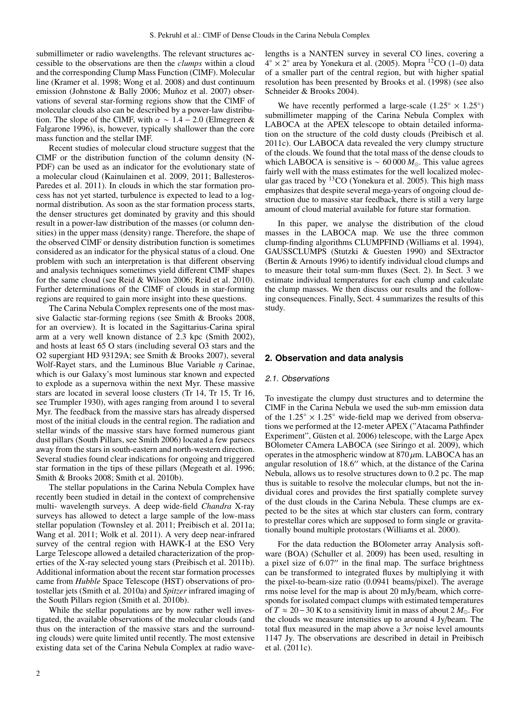submillimeter or radio wavelengths. The relevant structures accessible to the observations are then the *clumps* within a cloud and the corresponding Clump Mass Function (ClMF). Molecular line (Kramer et al. 1998; Wong et al. 2008) and dust continuum emission (Johnstone & Bally 2006; Muñoz et al. 2007) observations of several star-forming regions show that the ClMF of molecular clouds also can be described by a power-law distribution. The slope of the ClMF, with  $\alpha \sim 1.4 - 2.0$  (Elmegreen & Falgarone 1996), is, however, typically shallower than the core mass function and the stellar IMF.

Recent studies of molecular cloud structure suggest that the ClMF or the distribution function of the column density (N-PDF) can be used as an indicator for the evolutionary state of a molecular cloud (Kainulainen et al. 2009, 2011; Ballesteros-Paredes et al. 2011). In clouds in which the star formation process has not yet started, turbulence is expected to lead to a lognormal distribution. As soon as the star formation process starts, the denser structures get dominated by gravity and this should result in a power-law distribution of the masses (or column densities) in the upper mass (density) range. Therefore, the shape of the observed ClMF or density distribution function is sometimes considered as an indicator for the physical status of a cloud. One problem with such an interpretation is that different observing and analysis techniques sometimes yield different ClMF shapes for the same cloud (see Reid & Wilson 2006; Reid et al. 2010). Further determinations of the ClMF of clouds in star-forming regions are required to gain more insight into these questions.

The Carina Nebula Complex represents one of the most massive Galactic star-forming regions (see Smith & Brooks 2008, for an overview). It is located in the Sagittarius-Carina spiral arm at a very well known distance of 2.3 kpc (Smith 2002), and hosts at least 65 O stars (including several O3 stars and the O2 supergiant HD 93129A; see Smith & Brooks 2007), several Wolf-Rayet stars, and the Luminous Blue Variable  $\eta$  Carinae, which is our Galaxy's most luminous star known and expected to explode as a supernova within the next Myr. These massive stars are located in several loose clusters (Tr 14, Tr 15, Tr 16, see Trumpler 1930), with ages ranging from around 1 to several Myr. The feedback from the massive stars has already dispersed most of the initial clouds in the central region. The radiation and stellar winds of the massive stars have formed numerous giant dust pillars (South Pillars, see Smith 2006) located a few parsecs away from the stars in south-eastern and north-western direction. Several studies found clear indications for ongoing and triggered star formation in the tips of these pillars (Megeath et al. 1996; Smith & Brooks 2008; Smith et al. 2010b).

The stellar populations in the Carina Nebula Complex have recently been studied in detail in the context of comprehensive multi- wavelength surveys. A deep wide-field *Chandra* X-ray surveys has allowed to detect a large sample of the low-mass stellar population (Townsley et al. 2011; Preibisch et al. 2011a; Wang et al. 2011; Wolk et al. 2011). A very deep near-infrared survey of the central region with HAWK-I at the ESO Very Large Telescope allowed a detailed characterization of the properties of the X-ray selected young stars (Preibisch et al. 2011b). Additional information about the recent star formation processes came from *Hubble* Space Telescope (HST) observations of protostellar jets (Smith et al. 2010a) and *Spitzer* infrared imaging of the South Pillars region (Smith et al. 2010b).

While the stellar populations are by now rather well investigated, the available observations of the molecular clouds (and thus on the interaction of the massive stars and the surrounding clouds) were quite limited until recently. The most extensive existing data set of the Carina Nebula Complex at radio wavelengths is a NANTEN survey in several CO lines, covering a  $4^\circ \times 2^\circ$  area by Yonekura et al. (2005). Mopra  $^{12}CO$  (1–0) data of a smaller part of the central region, but with higher spatial resolution has been presented by Brooks et al. (1998) (see also Schneider & Brooks 2004).

We have recently performed a large-scale  $(1.25° \times 1.25°)$ submillimeter mapping of the Carina Nebula Complex with LABOCA at the APEX telescope to obtain detailed information on the structure of the cold dusty clouds (Preibisch et al. 2011c). Our LABOCA data revealed the very clumpy structure of the clouds. We found that the total mass of the dense clouds to which LABOCA is sensitive is ~  $60000 M_{\odot}$ . This value agrees fairly well with the mass estimates for the well localized molecular gas traced by  ${}^{13}$ CO (Yonekura et al. 2005). This high mass emphasizes that despite several mega-years of ongoing cloud destruction due to massive star feedback, there is still a very large amount of cloud material available for future star formation.

In this paper, we analyse the distribution of the cloud masses in the LABOCA map. We use the three common clump-finding algorithms CLUMPFIND (Williams et al. 1994), GAUSSCLUMPS (Stutzki & Guesten 1990) and SExtractor (Bertin & Arnouts 1996) to identify individual cloud clumps and to measure their total sum-mm fluxes (Sect. 2). In Sect. 3 we estimate individual temperatures for each clump and calculate the clump masses. We then discuss our results and the following consequences. Finally, Sect. 4 summarizes the results of this study.

#### **2. Observation and data analysis**

## 2.1. Observations

To investigate the clumpy dust structures and to determine the ClMF in the Carina Nebula we used the sub-mm emission data of the 1.25◦ × 1.25◦ wide-field map we derived from observations we performed at the 12-meter APEX ("Atacama Pathfinder Experiment", Güsten et al. 2006) telescope, with the Large Apex BOlometer CAmera LABOCA (see Siringo et al. 2009), which operates in the atmospheric window at  $870 \mu$ m. LABOCA has an angular resolution of 18.6 ′′ which, at the distance of the Carina Nebula, allows us to resolve structures down to 0.2 pc. The map thus is suitable to resolve the molecular clumps, but not the individual cores and provides the first spatially complete survey of the dust clouds in the Carina Nebula. These clumps are expected to be the sites at which star clusters can form, contrary to prestellar cores which are supposed to form single or gravitationally bound multiple protostars (Williams et al. 2000).

For the data reduction the BOlometer array Analysis software (BOA) (Schuller et al. 2009) has been used, resulting in a pixel size of 6.07′′ in the final map. The surface brightness can be transformed to integrated fluxes by multiplying it with the pixel-to-beam-size ratio (0.0941 beams/pixel). The average rms noise level for the map is about 20 mJy/beam, which corresponds for isolated compact clumps with estimated temperatures of *T* ≈ 20−30 K to a sensitivity limit in mass of about 2 *M*⊙. For the clouds we measure intensities up to around 4 Jy/beam. The total flux measured in the map above a  $3\sigma$  noise level amounts 1147 Jy. The observations are described in detail in Preibisch et al. (2011c).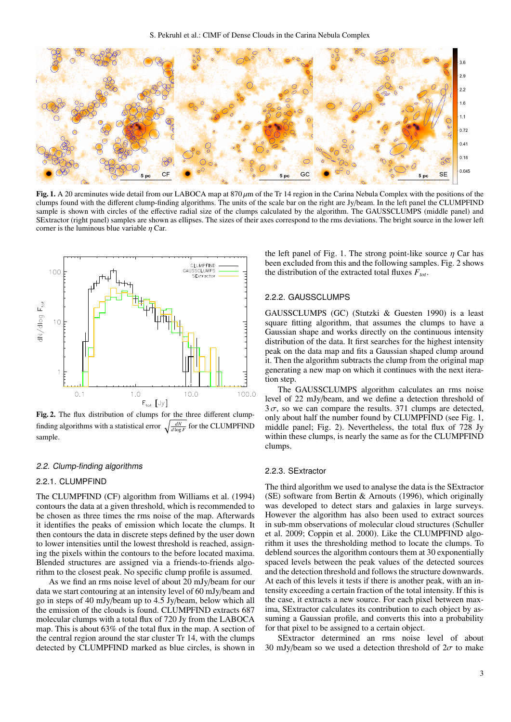

Fig. 1. A 20 arcminutes wide detail from our LABOCA map at  $870 \mu m$  of the Tr 14 region in the Carina Nebula Complex with the positions of the clumps found with the different clump-finding algorithms. The units of the scale bar on the right are Jy/beam. In the left panel the CLUMPFIND sample is shown with circles of the effective radial size of the clumps calculated by the algorithm. The GAUSSCLUMPS (middle panel) and SExtractor (right panel) samples are shown as ellipses. The sizes of their axes correspond to the rms deviations. The bright source in the lower left corner is the luminous blue variable  $\eta$  Car.



Fig. 2. The flux distribution of clumps for the three different clumpfinding algorithms with a statistical error  $\sqrt{\frac{dN}{d\log F}}$  for the CLUMPFIND sample.

## 2.2. Clump-finding algorithms

#### 2.2.1. CLUMPFIND

The CLUMPFIND (CF) algorithm from Williams et al. (1994) contours the data at a given threshold, which is recommended to be chosen as three times the rms noise of the map. Afterwards it identifies the peaks of emission which locate the clumps. It then contours the data in discrete steps defined by the user down to lower intensities until the lowest threshold is reached, assigning the pixels within the contours to the before located maxima. Blended structures are assigned via a friends-to-friends algorithm to the closest peak. No specific clump profile is assumed.

As we find an rms noise level of about 20 mJy/beam for our data we start contouring at an intensity level of 60 mJy/beam and go in steps of 40 mJy/beam up to 4.5 Jy/beam, below which all the emission of the clouds is found. CLUMPFIND extracts 687 molecular clumps with a total flux of 720 Jy from the LABOCA map. This is about 63% of the total flux in the map. A section of the central region around the star cluster Tr 14, with the clumps detected by CLUMPFIND marked as blue circles, is shown in the left panel of Fig. 1. The strong point-like source  $\eta$  Car has been excluded from this and the following samples. Fig. 2 shows the distribution of the extracted total fluxes *Ftot*.

#### 2.2.2. GAUSSCLUMPS

GAUSSCLUMPS (GC) (Stutzki & Guesten 1990) is a least square fitting algorithm, that assumes the clumps to have a Gaussian shape and works directly on the continuous intensity distribution of the data. It first searches for the highest intensity peak on the data map and fits a Gaussian shaped clump around it. Then the algorithm subtracts the clump from the original map generating a new map on which it continues with the next iteration step.

The GAUSSCLUMPS algorithm calculates an rms noise level of 22 mJy/beam, and we define a detection threshold of  $3\sigma$ , so we can compare the results. 371 clumps are detected, only about half the number found by CLUMPFIND (see Fig. 1, middle panel; Fig. 2). Nevertheless, the total flux of 728 Jy within these clumps, is nearly the same as for the CLUMPFIND clumps.

#### 2.2.3. SExtractor

The third algorithm we used to analyse the data is the SExtractor (SE) software from Bertin & Arnouts (1996), which originally was developed to detect stars and galaxies in large surveys. However the algorithm has also been used to extract sources in sub-mm observations of molecular cloud structures (Schuller et al. 2009; Coppin et al. 2000). Like the CLUMPFIND algorithm it uses the thresholding method to locate the clumps. To deblend sources the algorithm contours them at 30 exponentially spaced levels between the peak values of the detected sources and the detection threshold and follows the structure downwards. At each of this levels it tests if there is another peak, with an intensity exceeding a certain fraction of the total intensity. If this is the case, it extracts a new source. For each pixel between maxima, SExtractor calculates its contribution to each object by assuming a Gaussian profile, and converts this into a probability for that pixel to be assigned to a certain object.

SExtractor determined an rms noise level of about 30 mJy/beam so we used a detection threshold of  $2\sigma$  to make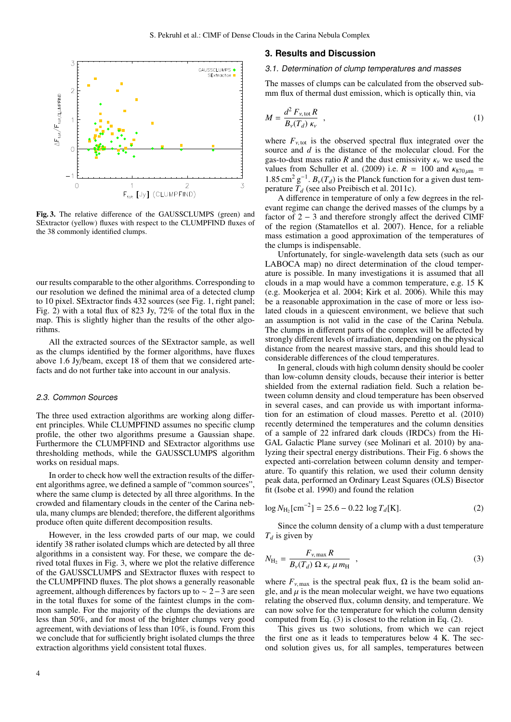

Fig. 3. The relative difference of the GAUSSCLUMPS (green) and SExtractor (yellow) fluxes with respect to the CLUMPFIND fluxes of the 38 commonly identified clumps.

our results comparable to the other algorithms. Corresponding to our resolution we defined the minimal area of a detected clump to 10 pixel. SExtractor finds 432 sources (see Fig. 1, right panel; Fig. 2) with a total flux of 823 Jy, 72% of the total flux in the map. This is slightly higher than the results of the other algorithms.

All the extracted sources of the SExtractor sample, as well as the clumps identified by the former algorithms, have fluxes above 1.6 Jy/beam, except 18 of them that we considered artefacts and do not further take into account in our analysis.

## 2.3. Common Sources

The three used extraction algorithms are working along different principles. While CLUMPFIND assumes no specific clump profile, the other two algorithms presume a Gaussian shape. Furthermore the CLUMPFIND and SExtractor algorithms use thresholding methods, while the GAUSSCLUMPS algorithm works on residual maps.

In order to check how well the extraction results of the different algorithms agree, we defined a sample of "common sources", where the same clump is detected by all three algorithms. In the crowded and filamentary clouds in the center of the Carina nebula, many clumps are blended; therefore, the different algorithms produce often quite different decomposition results.

However, in the less crowded parts of our map, we could identify 38 rather isolated clumps which are detected by all three algorithms in a consistent way. For these, we compare the derived total fluxes in Fig. 3, where we plot the relative difference of the GAUSSCLUMPS and SExtractor fluxes with respect to the CLUMPFIND fluxes. The plot shows a generally reasonable agreement, although differences by factors up to ∼ 2−3 are seen in the total fluxes for some of the faintest clumps in the common sample. For the majority of the clumps the deviations are less than 50%, and for most of the brighter clumps very good agreement, with deviations of less than 10%, is found. From this we conclude that for sufficiently bright isolated clumps the three extraction algorithms yield consistent total fluxes.

#### **3. Results and Discussion**

#### 3.1. Determination of clump temperatures and masses

The masses of clumps can be calculated from the observed submm flux of thermal dust emission, which is optically thin, via

$$
M = \frac{d^2 F_{\nu, \text{tot}} R}{B_{\nu}(T_d) \, \kappa_{\nu}} \tag{1}
$$

where  $F_{v, \text{tot}}$  is the observed spectral flux integrated over the source and *d* is the distance of the molecular cloud. For the gas-to-dust mass ratio *R* and the dust emissivity  $\kappa$  we used the values from Schuller et al. (2009) i.e.  $R = 100$  and  $\kappa_{870 \mu m}$ 1.85 cm<sup>2</sup> g<sup>-1</sup>.  $B_v(T_d)$  is the Planck function for a given dust temperature  $T_d$  (see also Preibisch et al. 2011c).

A difference in temperature of only a few degrees in the relevant regime can change the derived masses of the clumps by a factor of  $2 - 3$  and therefore strongly affect the derived ClMF of the region (Stamatellos et al. 2007). Hence, for a reliable mass estimation a good approximation of the temperatures of the clumps is indispensable.

Unfortunately, for single-wavelength data sets (such as our LABOCA map) no direct determination of the cloud temperature is possible. In many investigations it is assumed that all clouds in a map would have a common temperature, e.g. 15 K (e.g. Mookerjea et al. 2004; Kirk et al. 2006). While this may be a reasonable approximation in the case of more or less isolated clouds in a quiescent environment, we believe that such an assumption is not valid in the case of the Carina Nebula. The clumps in different parts of the complex will be affected by strongly different levels of irradiation, depending on the physical distance from the nearest massive stars, and this should lead to considerable differences of the cloud temperatures.

In general, clouds with high column density should be cooler than low-column density clouds, because their interior is better shielded from the external radiation field. Such a relation between column density and cloud temperature has been observed in several cases, and can provide us with important information for an estimation of cloud masses. Peretto et al. (2010) recently determined the temperatures and the column densities of a sample of 22 infrared dark clouds (IRDCs) from the Hi-GAL Galactic Plane survey (see Molinari et al. 2010) by analyzing their spectral energy distributions. Their Fig. 6 shows the expected anti-correlation between column density and temperature. To quantify this relation, we used their column density peak data, performed an Ordinary Least Squares (OLS) Bisector fit (Isobe et al. 1990) and found the relation

$$
\log N_{\text{H}_2}[\text{cm}^{-2}] = 25.6 - 0.22 \log T_d[\text{K}]. \tag{2}
$$

Since the column density of a clump with a dust temperature *T<sup>d</sup>* is given by

$$
N_{\text{H}_2} = \frac{F_{\nu, \text{max}} R}{B_{\nu}(T_d) \ \Omega \ \kappa_{\nu} \ \mu \, m_{\text{H}}} \quad , \tag{3}
$$

where  $F_{\nu, \text{max}}$  is the spectral peak flux,  $\Omega$  is the beam solid angle, and  $\mu$  is the mean molecular weight, we have two equations relating the observed flux, column density, and temperature. We can now solve for the temperature for which the column density computed from Eq. (3) is closest to the relation in Eq. (2).

This gives us two solutions, from which we can reject the first one as it leads to temperatures below 4 K. The second solution gives us, for all samples, temperatures between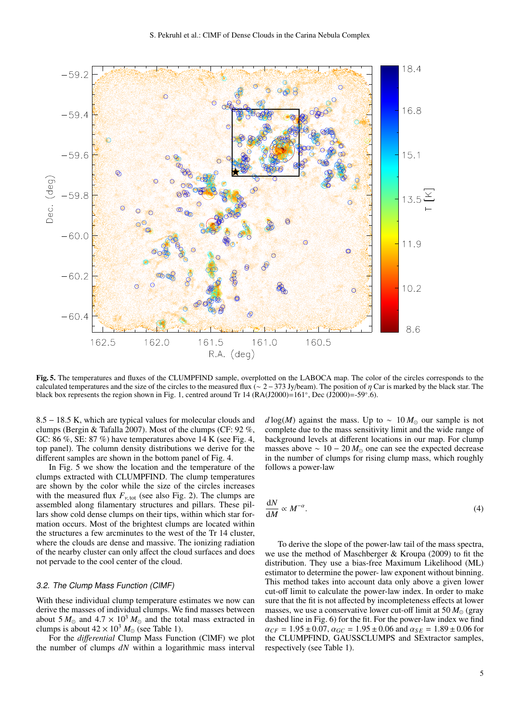

Fig. 5. The temperatures and fluxes of the CLUMPFIND sample, overplotted on the LABOCA map. The color of the circles corresponds to the calculated temperatures and the size of the circles to the measured flux (∼ 2–373 Jy/beam). The position of  $\eta$  Car is marked by the black star. The black box represents the region shown in Fig. 1, centred around Tr 14 ( $RA(J2000)=161°$ , Dec (J2000)=-59°.6).

8.5 − 18.5 K, which are typical values for molecular clouds and clumps (Bergin & Tafalla 2007). Most of the clumps (CF: 92 %, GC: 86 %, SE: 87 %) have temperatures above 14 K (see Fig. 4, top panel). The column density distributions we derive for the different samples are shown in the bottom panel of Fig. 4.

In Fig. 5 we show the location and the temperature of the clumps extracted with CLUMPFIND. The clump temperatures are shown by the color while the size of the circles increases with the measured flux  $F_{\nu, \text{tot}}$  (see also Fig. 2). The clumps are assembled along filamentary structures and pillars. These pillars show cold dense clumps on their tips, within which star formation occurs. Most of the brightest clumps are located within the structures a few arcminutes to the west of the Tr 14 cluster, where the clouds are dense and massive. The ionizing radiation of the nearby cluster can only affect the cloud surfaces and does not pervade to the cool center of the cloud.

# 3.2. The Clump Mass Function (ClMF)

With these individual clump temperature estimates we now can derive the masses of individual clumps. We find masses between about 5  $M_{\odot}$  and 4.7 × 10<sup>3</sup>  $M_{\odot}$  and the total mass extracted in clumps is about  $42 \times 10^3 M_{\odot}$  (see Table 1).

For the *di*ff*erential* Clump Mass Function (ClMF) we plot the number of clumps *dN* within a logarithmic mass interval *d* log(*M*) against the mass. Up to ~ 10  $M_{\odot}$  our sample is not complete due to the mass sensitivity limit and the wide range of background levels at different locations in our map. For clump masses above  $\sim 10 - 20 M_{\odot}$  one can see the expected decrease in the number of clumps for rising clump mass, which roughly follows a power-law

$$
\frac{\mathrm{d}N}{\mathrm{d}M} \propto M^{-\alpha}.\tag{4}
$$

To derive the slope of the power-law tail of the mass spectra, we use the method of Maschberger & Kroupa (2009) to fit the distribution. They use a bias-free Maximum Likelihood (ML) estimator to determine the power- law exponent without binning. This method takes into account data only above a given lower cut-off limit to calculate the power-law index. In order to make sure that the fit is not affected by incompleteness effects at lower masses, we use a conservative lower cut-off limit at  $50 M_{\odot}$  (gray dashed line in Fig. 6) for the fit. For the power-law index we find  $\alpha_{CF} = 1.95 \pm 0.07$ ,  $\alpha_{GC} = 1.95 \pm 0.06$  and  $\alpha_{SE} = 1.89 \pm 0.06$  for the CLUMPFIND, GAUSSCLUMPS and SExtractor samples, respectively (see Table 1).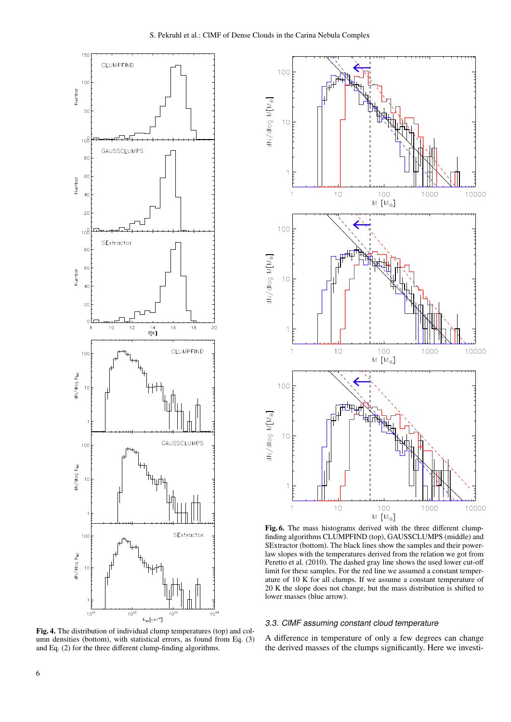

Fig. 4. The distribution of individual clump temperatures (top) and column densities (bottom), with statistical errors, as found from Eq. (3) and Eq. (2) for the three different clump-finding algorithms.



Fig. 6. The mass histograms derived with the three different clumpfinding algorithms CLUMPFIND (top), GAUSSCLUMPS (middle) and SExtractor (bottom). The black lines show the samples and their powerlaw slopes with the temperatures derived from the relation we got from Peretto et al. (2010). The dashed gray line shows the used lower cut-off limit for these samples. For the red line we assumed a constant temperature of 10 K for all clumps. If we assume a constant temperature of 20 K the slope does not change, but the mass distribution is shifted to lower masses (blue arrow).

## 3.3. ClMF assuming constant cloud temperature

A difference in temperature of only a few degrees can change the derived masses of the clumps significantly. Here we investi-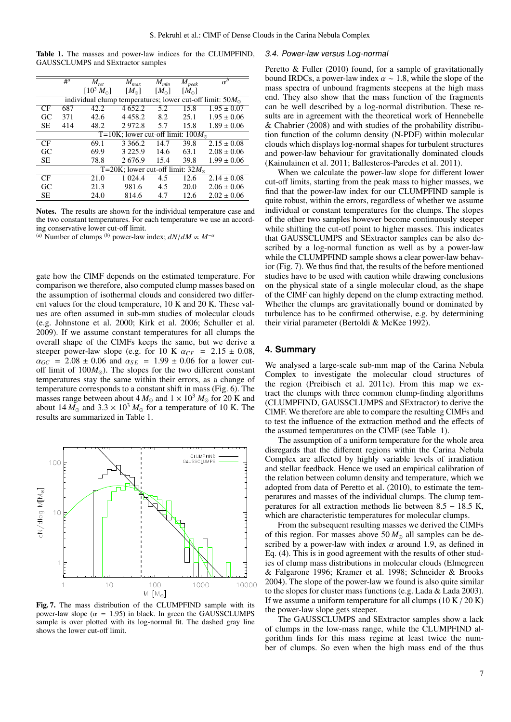|  |  | Table 1. The masses and power-law indices for the CLUMPFIND, |  |  |  |
|--|--|--------------------------------------------------------------|--|--|--|
|  |  | <b>GAUSSCLUMPS</b> and <b>SExtractor</b> samples             |  |  |  |

|                                                                   | $#^a$                                      | $M_{tot}$          | $M_{max}$     | $M_{min}$     | $M_{peak}$    | $\alpha^b$      |  |  |  |  |
|-------------------------------------------------------------------|--------------------------------------------|--------------------|---------------|---------------|---------------|-----------------|--|--|--|--|
|                                                                   |                                            | $[10^3 M_{\odot}]$ | $[M_{\odot}]$ | $[M_{\odot}]$ | $[M_{\odot}]$ |                 |  |  |  |  |
| individual clump temperatures; lower cut-off limit: $50M_{\odot}$ |                                            |                    |               |               |               |                 |  |  |  |  |
| CF                                                                | 687                                        | 42.2               | 4 652.2       | 5.2           | 15.8          | $1.95 \pm 0.07$ |  |  |  |  |
| GC                                                                | 371                                        | 42.6               | 4 4 5 8 .2    | 8.2           | 25.1          | $1.95 \pm 0.06$ |  |  |  |  |
| SE.                                                               | 414                                        | 48.2               | 2972.8        | 5.7           | 15.8          | $1.89 \pm 0.06$ |  |  |  |  |
|                                                                   | T=10K; lower cut-off limit: $100M_{\odot}$ |                    |               |               |               |                 |  |  |  |  |
| CF                                                                |                                            | 69.1               | 3 3 6 6 .2    | 14.7          | 39.8          | $2.15 \pm 0.08$ |  |  |  |  |
| GC                                                                |                                            | 69.9               | 3 2 2 5 .9    | 14.6          | 63.1          | $2.08 \pm 0.06$ |  |  |  |  |
| <b>SE</b>                                                         |                                            | 78.8               | 2676.9        | 15.4          | 39.8          | $1.99 \pm 0.06$ |  |  |  |  |
|                                                                   | T=20K; lower cut-off limit: $32M_{\odot}$  |                    |               |               |               |                 |  |  |  |  |
| CF                                                                |                                            | 21.0               | 1 0 24.4      | 4.5           | 12.6          | $2.14 \pm 0.08$ |  |  |  |  |
| GC                                                                |                                            | 21.3               | 981.6         | 4.5           | 20.0          | $2.06 \pm 0.06$ |  |  |  |  |
| <b>SE</b>                                                         |                                            | 24.0               | 814.6         | 4.7           | 12.6          | $2.02 \pm 0.06$ |  |  |  |  |

Notes. The results are shown for the individual temperature case and the two constant temperatures. For each temperature we use an according conservative lower cut-off limit.

 $^{(a)}$  Number of clumps <sup>(*b*)</sup> power-law index;  $dN/dM \propto M^{-\alpha}$ 

gate how the ClMF depends on the estimated temperature. For comparison we therefore, also computed clump masses based on the assumption of isothermal clouds and considered two different values for the cloud temperature, 10 K and 20 K. These values are often assumed in sub-mm studies of molecular clouds (e.g. Johnstone et al. 2000; Kirk et al. 2006; Schuller et al. 2009). If we assume constant temperatures for all clumps the overall shape of the ClMFs keeps the same, but we derive a steeper power-law slope (e.g. for 10 K  $\alpha_{CF}$  = 2.15  $\pm$  0.08,  $\alpha_{GC}$  = 2.08 ± 0.06 and  $\alpha_{SE}$  = 1.99 ± 0.06 for a lower cutoff limit of  $100M_{\odot}$ ). The slopes for the two different constant temperatures stay the same within their errors, as a change of temperature corresponds to a constant shift in mass (Fig. 6). The masses range between about 4  $M_{\odot}$  and  $1 \times 10^3$   $M_{\odot}$  for 20 K and about  $14 M_{\odot}$  and  $3.3 \times 10^{3} M_{\odot}$  for a temperature of 10 K. The results are summarized in Table 1.



Fig. 7. The mass distribution of the CLUMPFIND sample with its power-law slope ( $\alpha = 1.95$ ) in black. In green the GAUSSCLUMPS sample is over plotted with its log-normal fit. The dashed gray line shows the lower cut-off limit.

#### 3.4. Power-law versus Log-normal

Peretto & Fuller (2010) found, for a sample of gravitationally bound IRDCs, a power-law index  $\alpha \sim 1.8$ , while the slope of the mass spectra of unbound fragments steepens at the high mass end. They also show that the mass function of the fragments can be well described by a log-normal distribution. These results are in agreement with the theoretical work of Hennebelle & Chabrier (2008) and with studies of the probability distribution function of the column density (N-PDF) within molecular clouds which displays log-normal shapes for turbulent structures and power-law behaviour for gravitationally dominated clouds (Kainulainen et al. 2011; Ballesteros-Paredes et al. 2011).

When we calculate the power-law slope for different lower cut-off limits, starting from the peak mass to higher masses, we find that the power-law index for our CLUMPFIND sample is quite robust, within the errors, regardless of whether we assume individual or constant temperatures for the clumps. The slopes of the other two samples however become continuously steeper while shifting the cut-off point to higher masses. This indicates that GAUSSCLUMPS and SExtractor samples can be also described by a log-normal function as well as by a power-law while the CLUMPFIND sample shows a clear power-law behavior (Fig. 7). We thus find that, the results of the before mentioned studies have to be used with caution while drawing conclusions on the physical state of a single molecular cloud, as the shape of the ClMF can highly depend on the clump extracting method. Whether the clumps are gravitationally bound or dominated by turbulence has to be confirmed otherwise, e.g. by determining their virial parameter (Bertoldi & McKee 1992).

## **4. Summary**

We analysed a large-scale sub-mm map of the Carina Nebula Complex to investigate the molecular cloud structures of the region (Preibisch et al. 2011c). From this map we extract the clumps with three common clump-finding algorithms (CLUMPFIND, GAUSSCLUMPS and SExtractor) to derive the ClMF. We therefore are able to compare the resulting ClMFs and to test the influence of the extraction method and the effects of the assumed temperatures on the ClMF (see Table 1).

The assumption of a uniform temperature for the whole area disregards that the different regions within the Carina Nebula Complex are affected by highly variable levels of irradiation and stellar feedback. Hence we used an empirical calibration of the relation between column density and temperature, which we adopted from data of Peretto et al. (2010), to estimate the temperatures and masses of the individual clumps. The clump temperatures for all extraction methods lie between 8.5 − 18.5 K, which are characteristic temperatures for molecular clumps.

From the subsequent resulting masses we derived the ClMFs of this region. For masses above  $50 M_{\odot}$  all samples can be described by a power-law with index  $\alpha$  around 1.9, as defined in Eq. (4). This is in good agreement with the results of other studies of clump mass distributions in molecular clouds (Elmegreen & Falgarone 1996; Kramer et al. 1998; Schneider & Brooks 2004). The slope of the power-law we found is also quite similar to the slopes for cluster mass functions (e.g. Lada & Lada 2003). If we assume a uniform temperature for all clumps  $(10 K / 20 K)$ the power-law slope gets steeper.

The GAUSSCLUMPS and SExtractor samples show a lack of clumps in the low-mass range, while the CLUMPFIND algorithm finds for this mass regime at least twice the number of clumps. So even when the high mass end of the thus